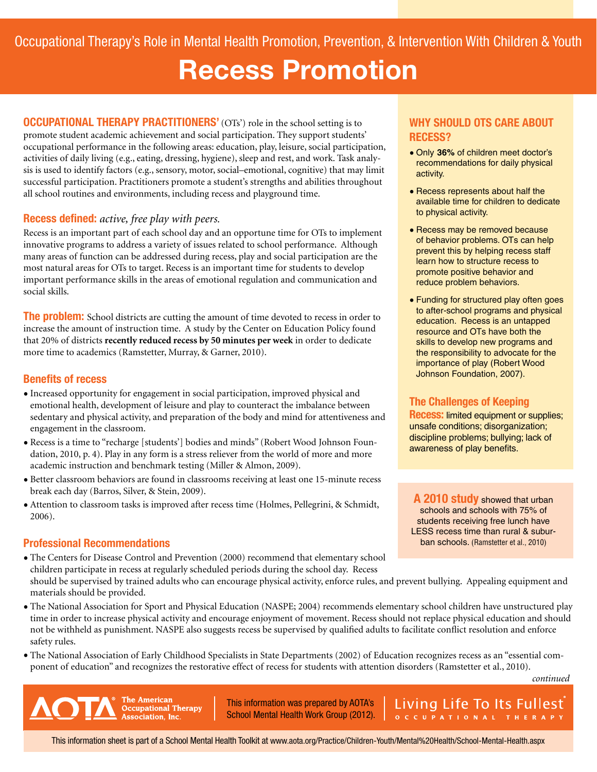# **Recess Promotion**

**OCCUPATIONAL THERAPY PRACTITIONERS'** (OTs') role in the school setting is to promote student academic achievement and social participation. They support students' occupational performance in the following areas: education, play, leisure, social participation, activities of daily living (e.g., eating, dressing, hygiene), sleep and rest, and work. Task analysis is used to identify factors (e.g., sensory, motor, social–emotional, cognitive) that may limit successful participation. Practitioners promote a student's strengths and abilities throughout all school routines and environments, including recess and playground time.

#### **Recess defined:** *active, free play with peers.*

Recess is an important part of each school day and an opportune time for OTs to implement innovative programs to address a variety of issues related to school performance. Although many areas of function can be addressed during recess, play and social participation are the most natural areas for OTs to target. Recess is an important time for students to develop important performance skills in the areas of emotional regulation and communication and social skills.

**The problem:** School districts are cutting the amount of time devoted to recess in order to increase the amount of instruction time. A study by the Center on Education Policy found that 20% of districts **recently reduced recess by 50 minutes per week** in order to dedicate more time to academics (Ramstetter, Murray, & Garner, 2010).

#### **Benefits of recess**

- Increased opportunity for engagement in social participation, improved physical and emotional health, development of leisure and play to counteract the imbalance between sedentary and physical activity, and preparation of the body and mind for attentiveness and engagement in the classroom.
- Recess is a time to "recharge [students'] bodies and minds" (Robert Wood Johnson Foundation, 2010, p. 4). Play in any form is a stress reliever from the world of more and more academic instruction and benchmark testing (Miller & Almon, 2009).
- Better classroom behaviors are found in classrooms receiving at least one 15-minute recess break each day (Barros, Silver, & Stein, 2009).
- Attention to classroom tasks is improved after recess time (Holmes, Pellegrini, & Schmidt, 2006).

# **Professional Recommendations**

- The Centers for Disease Control and Prevention (2000) recommend that elementary school children participate in recess at regularly scheduled periods during the school day. Recess should be supervised by trained adults who can encourage physical activity, enforce rules, and prevent bullying. Appealing equipment and materials should be provided.
- The National Association for Sport and Physical Education (NASPE; 2004) recommends elementary school children have unstructured play time in order to increase physical activity and encourage enjoyment of movement. Recess should not replace physical education and should not be withheld as punishment. NASPE also suggests recess be supervised by qualified adults to facilitate conflict resolution and enforce safety rules.
- The National Association of Early Childhood Specialists in State Departments (2002) of Education recognizes recess as an "essential component of education" and recognizes the restorative effect of recess for students with attention disorders (Ramstetter et al., 2010).

*continued*

**The American Occupational Therapy** Association, Inc.

This information was prepared by AOTA's School Mental Health Work Group (2012).

#### **WHY SHOULD OTS CARE ABOUT RECESS?**

- Only **36%** of children meet doctor's recommendations for daily physical activity.
- Recess represents about half the available time for children to dedicate to physical activity.
- Recess may be removed because of behavior problems. OTs can help prevent this by helping recess staff learn how to structure recess to promote positive behavior and reduce problem behaviors.
- Funding for structured play often goes to after-school programs and physical education. Recess is an untapped resource and OTs have both the skills to develop new programs and the responsibility to advocate for the importance of play (Robert Wood Johnson Foundation, 2007).

# **The Challenges of Keeping**

**Recess:** limited equipment or supplies; unsafe conditions; disorganization; discipline problems; bullying; lack of awareness of play benefits.

**A 2010 study** showed that urban schools and schools with 75% of students receiving free lunch have LESS recess time than rural & suburban schools. (Ramstetter et al., 2010)

Living Life To Its Fullest

OCCUPATIONAL THERAPY

This information sheet is part of a School Mental Health Toolkit at [www.aota.org/Practice/Children-Youth/Mental%20Health/School-Mental-Health.aspx](http://www.aota.org/Practice/Children-Youth/Mental%20Health/School-Mental-Health.aspx)